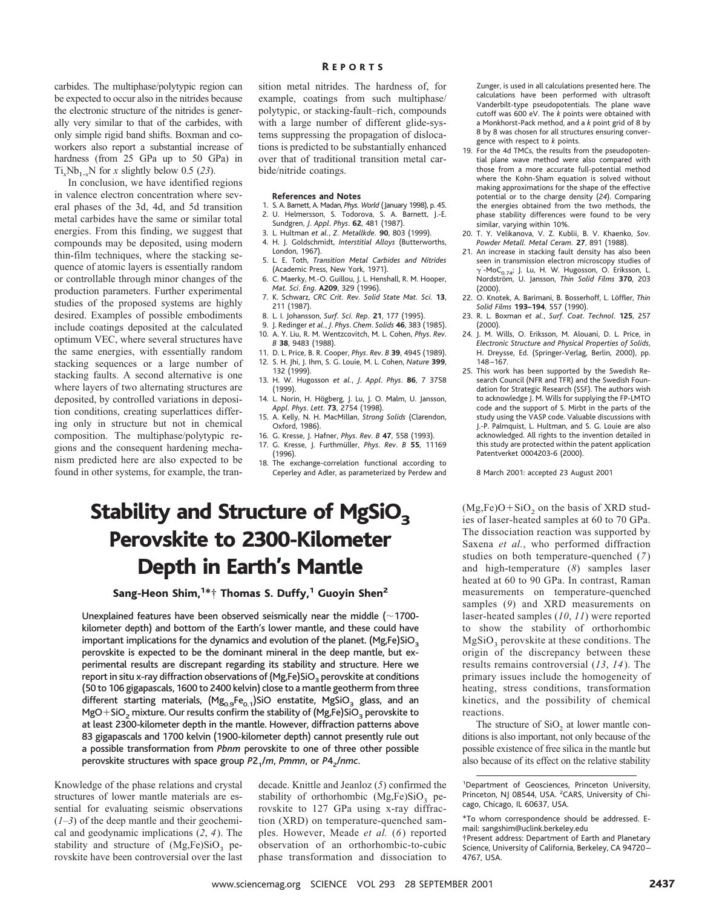carbides. The multiphase/polytypic region can be expected to occur also in the nitrides because the electronic structure of the nitrides is generally very similar to that of the carbides, with only simple rigid band shifts. Boxman and coworkers also report a substantial increase of hardness (from 25 GPa up to 50 GPa) in Ti<sub>x</sub>Nb<sub>1-x</sub>N for *x* slightly below 0.5 (23).

In conclusion, we have identified regions in valence electron concentration where several phases of the 3d, 4d, and 5d transition metal carbides have the same or similar total energies. From this finding, we suggest that compounds may be deposited, using modern thin-film techniques, where the stacking sequence of atomic layers is essentially random or controllable through minor changes of the production parameters. Further experimental studies of the proposed systems are highly desired. Examples of possible embodiments include coatings deposited at the calculated optimum VEC, where several structures have the same energies, with essentially random stacking sequences or a large number of stacking faults. A second alternative is one where layers of two alternating structures are deposited, by controlled variations in deposition conditions, creating superlattices differing only in structure but not in chemical composition. The multiphase/polytypic regions and the consequent hardening mechanism predicted here are also expected to be found in other systems, for example, the tran-

### R EPORTS

sition metal nitrides. The hardness of, for example, coatings from such multiphase/ polytypic, or stacking-fault–rich, compounds with a large number of different glide-systems suppressing the propagation of dislocations is predicted to be substantially enhanced over that of traditional transition metal carbide/nitride coatings.

#### **References and Notes**

- 1. S. A. Barnett, A. Madan, *Phys. World* (January 1998), p. 45. 2. U. Helmersson, S. Todorova, S. A. Barnett, J.-E. Sundgren, *J*. *Appl*. *Phys*. **62**, 481 (1987).
- 3. L. Hultman *et al.*, *Z. Metallkde.* **90**, 803 (1999).
- 4. H. J. Goldschmidt, *Interstitial Alloys* (Butterworths, London, 1967).
- 5. L. E. Toth, *Transition Metal Carbides and Nitrides* (Academic Press, New York, 1971).
- 6. C. Maerky, M.-O. Guillou, J. L. Henshall, R. M. Hooper, *Mat*. *Sci*. *Eng*. **A209**, 329 (1996). 7. K. Schwarz, *CRC Crit. Rev. Solid State Mat. Sci.* **13**,
- 211 (1987).
- 8. L. I. Johansson, *Surf. Sci. Rep.* **21**, 177 (1995).
- 9. J. Redinger *et al.*, *J*. *Phys*. *Chem*. *Solids* **46**, 383 (1985). 10. A. Y. Liu, R. M. Wentzcovitch, M. L. Cohen, *Phys*. *Rev*.
- *B* **38**, 9483 (1988). 11. D. L. Price, B. R. Cooper, *Phys*. *Rev*. *B* **39**, 4945 (1989).
- 12. S. H. Jhi, J. Ihm, S. G. Louie, M. L. Cohen, *Nature* **399**, 132 (1999).
- 13. H. W. Hugosson *et al.*, *J*. *Appl*. *Phys*. **86**, 7 3758 (1999).
- 14. L. Norin, H. Högberg, J. Lu, J. O. Malm, U. Jansson, *Appl*. *Phys*. *Lett*. **73**, 2754 (1998).
- 15. A. Kelly, N. H. MacMillan, *Strong Solids* (Clarendon, Oxford, 1986).
- 16. G. Kresse, J. Hafner, *Phys*. *Rev*. *B* **47**, 558 (1993). 17. G. Kresse, J. Furthmu¨ller, *Phys*. *Rev*. *B* **55**, 11169
- (1996).
- The exchange-correlation functional according to Ceperley and Adler, as parameterized by Perdew and

## Stability and Structure of MgSiO<sub>3</sub> Perovskite to 2300-Kilometer Depth in Earth's Mantle

Sang-Heon Shim,<sup>1\*</sup>† Thomas S. Duffy,<sup>1</sup> Guoyin Shen<sup>2</sup>

Unexplained features have been observed seismically near the middle  $(\sim1700$ kilometer depth) and bottom of the Earth's lower mantle, and these could have important implications for the dynamics and evolution of the planet. (Mg,Fe)SiO<sub>3</sub> perovskite is expected to be the dominant mineral in the deep mantle, but experimental results are discrepant regarding its stability and structure. Here we report in situ x-ray diffraction observations of  $(Mg,Fe)SiO<sub>3</sub>$  perovskite at conditions (50 to 106 gigapascals, 1600 to 2400 kelvin) close to a mantle geotherm from three different starting materials,  $(Mg_{0.9}Fe_{0.1})$ SiO enstatite, MgSiO<sub>3</sub> glass, and an MgO+SiO<sub>2</sub> mixture. Our results confirm the stability of (Mg,Fe)SiO<sub>3</sub> perovskite to at least 2300-kilometer depth in the mantle. However, diffraction patterns above 83 gigapascals and 1700 kelvin (1900-kilometer depth) cannot presently rule out a possible transformation from *Pbnm* perovskite to one of three other possible perovskite structures with space group  $P2<sub>1</sub>/m$ , *Pmmn*, or  $P4<sub>2</sub>/nmc$ .

Knowledge of the phase relations and crystal structures of lower mantle materials are essential for evaluating seismic observations  $(1-3)$  of the deep mantle and their geochemical and geodynamic implications (*2*, *4*). The stability and structure of  $(Mg,Fe)SiO<sub>3</sub>$  perovskite have been controversial over the last

decade. Knittle and Jeanloz (*5*) confirmed the stability of orthorhombic  $(Mg,Fe)SiO<sub>3</sub>$  perovskite to 127 GPa using x-ray diffraction (XRD) on temperature-quenched samples. However, Meade *et al.* (*6*) reported observation of an orthorhombic-to-cubic phase transformation and dissociation to

Zunger, is used in all calculations presented here. The calculations have been performed with ultrasoft Vanderbilt-type pseudopotentials. The plane wave cutoff was 600 eV. The *k* points were obtained with a Monkhorst-Pack method, and a *k* point grid of 8 by 8 by 8 was chosen for all structures ensuring convergence with respect to *k* points.

- 19. For the 4d TMCs, the results from the pseudopotential plane wave method were also compared with those from a more accurate full-potential method where the Kohn-Sham equation is solved without making approximations for the shape of the effective potential or to the charge density (*24*). Comparing the energies obtained from the two methods, the phase stability differences were found to be very similar, varying within 10%.
- 20. T. Y. Velikanova, V. Z. Kublii, B. V. Khaenko, *Sov. Powder Metall. Metal Ceram.* **27**, 891 (1988).
- 21. An increase in stacking fault density has also been seen in transmission electron microscopy studies of  $\gamma'$ -Mo $C_{0.74}$ ; J. Lu, H. W. Hugosson, O. Eriksson, L. Nordström, U. Jansson, Thin Solid Films 370, 203 (2000).
- 22. O. Knotek, A. Barimani, B. Bosserhoff, L. Löffler, *Thin Solid Films* **193–194**, 557 (1990).
- 23. R. L. Boxman *et al.*, *Surf*. *Coat*. *Technol*. **125**, 257 (2000).
- 24. J. M. Wills, O. Eriksson, M. Alouani, D. L. Price, in *Electronic Structure and Physical Properties of Solids*, H. Dreysse, Ed. (Springer-Verlag, Berlin, 2000), pp. 148–167.
- 25. This work has been supported by the Swedish Research Council (NFR and TFR) and the Swedish Foundation for Strategic Research (SSF). The authors wish to acknowledge J. M. Wills for supplying the FP-LMTO code and the support of S. Mirbt in the parts of the study using the VASP code. Valuable discussions with J.-P. Palmquist, L. Hultman, and S. G. Louie are also acknowledged. All rights to the invention detailed in this study are protected within the patent application Patentverket 0004203-6 (2000).

8 March 2001: accepted 23 August 2001

 $(Mg,Fe)O+SiO<sub>2</sub>$  on the basis of XRD studies of laser-heated samples at 60 to 70 GPa. The dissociation reaction was supported by Saxena *et al.*, who performed diffraction studies on both temperature-quenched (*7*) and high-temperature (*8*) samples laser heated at 60 to 90 GPa. In contrast, Raman measurements on temperature-quenched samples (*9*) and XRD measurements on laser-heated samples (*10*, *11*) were reported to show the stability of orthorhombic  $MgSiO<sub>3</sub>$  perovskite at these conditions. The origin of the discrepancy between these results remains controversial (*13*, *14*). The primary issues include the homogeneity of heating, stress conditions, transformation kinetics, and the possibility of chemical reactions.

The structure of  $SiO<sub>2</sub>$  at lower mantle conditions is also important, not only because of the possible existence of free silica in the mantle but also because of its effect on the relative stability

<sup>&</sup>lt;sup>1</sup>Department of Geosciences, Princeton University, Princeton, NJ 08544, USA. <sup>2</sup>CARS, University of Chicago, Chicago, IL 60637, USA.

<sup>\*</sup>To whom correspondence should be addressed. Email: sangshim@uclink.berkeley.edu

<sup>†</sup>Present address: Department of Earth and Planetary Science, University of California, Berkeley, CA 94720– 4767, USA.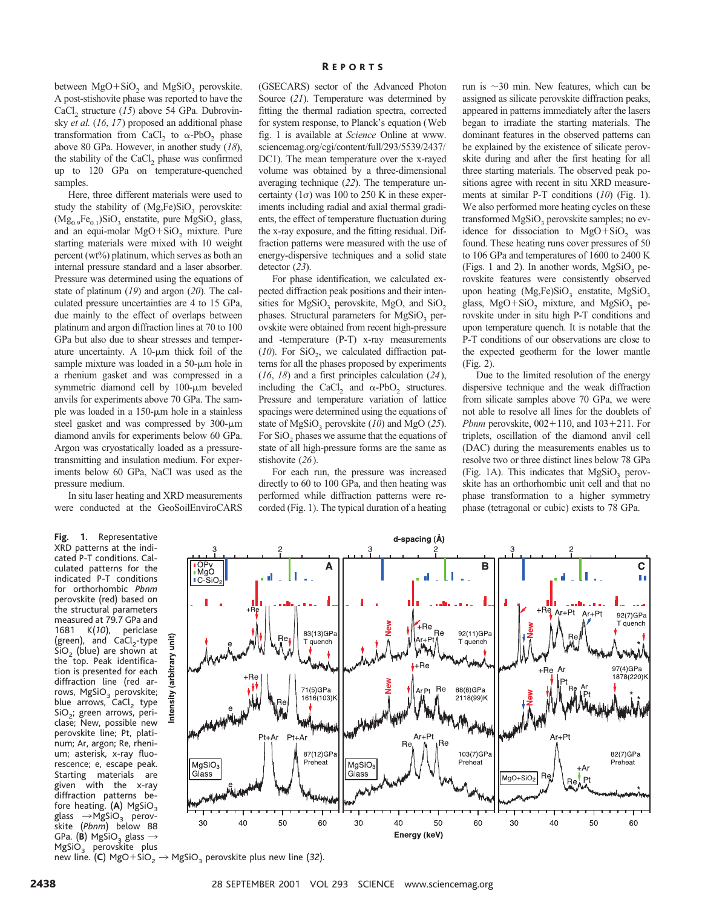between  $MgO+SiO<sub>2</sub>$  and  $MgSiO<sub>3</sub>$  perovskite. A post-stishovite phase was reported to have the CaCl<sub>2</sub> structure (15) above 54 GPa. Dubrovinsky *et al.* (*16*, *17*) proposed an additional phase transformation from CaCl, to  $\alpha$ -PbO<sub>2</sub> phase above 80 GPa. However, in another study (*18*), the stability of the CaCl, phase was confirmed up to 120 GPa on temperature-quenched samples.

Here, three different materials were used to study the stability of  $(Mg,Fe)SiO<sub>3</sub>$  perovskite:  $(Mg_{0.9}Fe_{0.1})SiO_3$  enstatite, pure MgSiO<sub>3</sub> glass, and an equi-molar  $MgO+SiO<sub>2</sub>$  mixture. Pure starting materials were mixed with 10 weight percent (wt%) platinum, which serves as both an internal pressure standard and a laser absorber. Pressure was determined using the equations of state of platinum (*19*) and argon (*20*). The calculated pressure uncertainties are 4 to 15 GPa, due mainly to the effect of overlaps between platinum and argon diffraction lines at 70 to 100 GPa but also due to shear stresses and temperature uncertainty. A  $10$ - $\mu$ m thick foil of the sample mixture was loaded in a  $50-\mu m$  hole in a rhenium gasket and was compressed in a symmetric diamond cell by  $100-\mu m$  beveled anvils for experiments above 70 GPa. The sample was loaded in a  $150$ - $\mu$ m hole in a stainless steel gasket and was compressed by  $300-\mu m$ diamond anvils for experiments below 60 GPa. Argon was cryostatically loaded as a pressuretransmitting and insulation medium. For experiments below 60 GPa, NaCl was used as the pressure medium.

In situ laser heating and XRD measurements were conducted at the GeoSoilEnviroCARS

**Fig. 1.** Representative XRD patterns at the indicated P-T conditions. Calculated patterns for the indicated P-T conditions for orthorhombic *Pbnm* perovskite (red) based on the structural parameters measured at 79.7 GPa and 1681 K(*10*), periclase (green), and  $CaCl<sub>2</sub>-type$  $SiO<sub>2</sub>$  (blue) are shown at the top. Peak identification is presented for each diffraction line (red arrows, MgSiO<sub>3</sub> perovskite; blue  $arrows$ ,  $CaCl<sub>2</sub>$  type SiO<sub>2</sub>; green arrows, periclase; New, possible new perovskite line; Pt, platinum; Ar, argon; Re, rhenium; asterisk, x-ray fluorescence; e, escape peak. Starting materials are given with the x-ray diffraction patterns before heating. (**A**) MgSiO<sub>3</sub> glass  $\rightarrow$ MgSiO<sub>3</sub> perov- $\rightarrow$ MgSiO<sub>3</sub> perovskite (*Pbnm*) below 88 GPa. (**B**) MgSiO<sub>3</sub> glass  $\rightarrow$ MgSiO<sub>3</sub> perovskite plus (GSECARS) sector of the Advanced Photon Source (*21*). Temperature was determined by fitting the thermal radiation spectra, corrected for system response, to Planck's equation (Web fig. 1 is available at *Science* Online at www. sciencemag.org/cgi/content/full/293/5539/2437/ DC1). The mean temperature over the x-rayed volume was obtained by a three-dimensional averaging technique (*22*). The temperature uncertainty  $(1\sigma)$  was 100 to 250 K in these experiments including radial and axial thermal gradients, the effect of temperature fluctuation during the x-ray exposure, and the fitting residual. Diffraction patterns were measured with the use of energy-dispersive techniques and a solid state detector (*23*).

For phase identification, we calculated expected diffraction peak positions and their intensities for  $MgSiO<sub>3</sub>$  perovskite, MgO, and SiO<sub>2</sub> phases. Structural parameters for  $MgSiO<sub>3</sub>$  perovskite were obtained from recent high-pressure and -temperature (P-T) x-ray measurements  $(10)$ . For SiO<sub>2</sub>, we calculated diffraction patterns for all the phases proposed by experiments (*16*, *18*) and a first principles calculation (*24*), including the CaCl<sub>2</sub> and  $\alpha$ -PbO<sub>2</sub> structures. Pressure and temperature variation of lattice spacings were determined using the equations of state of  $MgSiO<sub>3</sub>$  perovskite (10) and MgO (25). For SiO<sub>2</sub> phases we assume that the equations of state of all high-pressure forms are the same as stishovite (*26*).

For each run, the pressure was increased directly to 60 to 100 GPa, and then heating was performed while diffraction patterns were recorded (Fig. 1). The typical duration of a heating

run is  $\sim$ 30 min. New features, which can be assigned as silicate perovskite diffraction peaks, appeared in patterns immediately after the lasers began to irradiate the starting materials. The dominant features in the observed patterns can be explained by the existence of silicate perovskite during and after the first heating for all three starting materials. The observed peak positions agree with recent in situ XRD measurements at similar P-T conditions (*10*) (Fig. 1). We also performed more heating cycles on these transformed MgSiO<sub>3</sub> perovskite samples; no evidence for dissociation to  $MgO+SiO<sub>2</sub>$  was found. These heating runs cover pressures of 50 to 106 GPa and temperatures of 1600 to 2400 K (Figs. 1 and 2). In another words,  $MgSiO<sub>3</sub>$  perovskite features were consistently observed upon heating  $(Mg,Fe)SiO<sub>3</sub>$  enstatite,  $MgSiO<sub>3</sub>$ glass,  $MgO+SiO<sub>2</sub>$  mixture, and  $MgSiO<sub>3</sub>$  perovskite under in situ high P-T conditions and upon temperature quench. It is notable that the P-T conditions of our observations are close to the expected geotherm for the lower mantle (Fig. 2).

Due to the limited resolution of the energy dispersive technique and the weak diffraction from silicate samples above 70 GPa, we were not able to resolve all lines for the doublets of *Pbnm* perovskite,  $002 + 110$ , and  $103 + 211$ . For triplets, oscillation of the diamond anvil cell (DAC) during the measurements enables us to resolve two or three distinct lines below 78 GPa (Fig. 1A). This indicates that  $MgSiO<sub>3</sub>$  perovskite has an orthorhombic unit cell and that no phase transformation to a higher symmetry phase (tetragonal or cubic) exists to 78 GPa.



new line. (C) MgO+SiO<sub>2</sub>  $\rightarrow$  MgSiO<sub>3</sub> perovskite plus new line (32).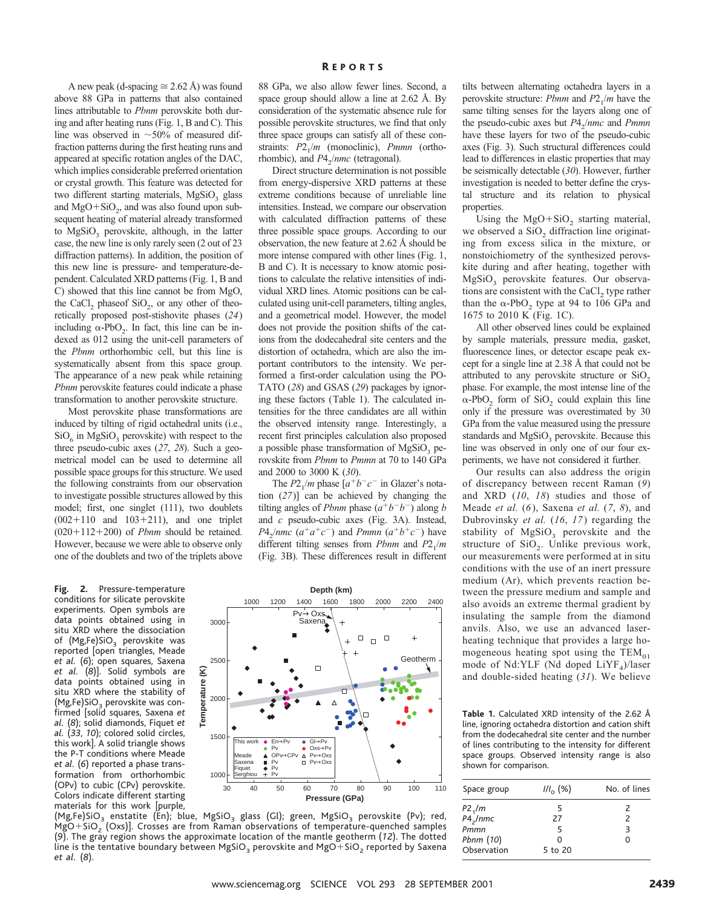A new peak (d-spacing  $\cong$  2.62 Å) was found above 88 GPa in patterns that also contained lines attributable to *Pbnm* perovskite both during and after heating runs (Fig. 1, B and C). This line was observed in  $\sim$ 50% of measured diffraction patterns during the first heating runs and appeared at specific rotation angles of the DAC, which implies considerable preferred orientation or crystal growth. This feature was detected for two different starting materials, MgSiO<sub>3</sub> glass and  $MgO+SiO<sub>2</sub>$ , and was also found upon subsequent heating of material already transformed to  $MgSiO<sub>3</sub>$  perovskite, although, in the latter case, the new line is only rarely seen (2 out of 23 diffraction patterns). In addition, the position of this new line is pressure- and temperature-dependent. Calculated XRD patterns (Fig. 1, B and C) showed that this line cannot be from MgO, the CaCl<sub>2</sub> phaseof  $SiO<sub>2</sub>$ , or any other of theoretically proposed post-stishovite phases (*24*) including  $\alpha$ -PbO<sub>2</sub>. In fact, this line can be indexed as 012 using the unit-cell parameters of the *Pbnm* orthorhombic cell, but this line is systematically absent from this space group. The appearance of a new peak while retaining *Pbnm* perovskite features could indicate a phase transformation to another perovskite structure.

Most perovskite phase transformations are induced by tilting of rigid octahedral units (i.e.,  $SiO<sub>6</sub>$  in MgSiO<sub>3</sub> perovskite) with respect to the three pseudo-cubic axes (*27*, *28*). Such a geometrical model can be used to determine all possible space groups for this structure. We used the following constraints from our observation to investigate possible structures allowed by this model; first, one singlet (111), two doublets  $(002+110$  and  $103+211)$ , and one triplet  $(020+112+200)$  of *Pbnm* should be retained. However, because we were able to observe only one of the doublets and two of the triplets above

**Fig. 2.** Pressure-temperature conditions for silicate perovskite experiments. Open symbols are data points obtained using in situ XRD where the dissociation of (Mg,Fe)SiO<sub>3</sub> perovskite was reported [open triangles, Meade *et al.* (*6*); open squares, Saxena *et al.* (*8*)]. Solid symbols are data points obtained using in situ XRD where the stability of  $(Mg,Fe)SiO<sub>3</sub>$  perovskite was confirmed [solid squares, Saxena *et al.* (*8*); solid diamonds, Fiquet *et al.* (*33*, *10*); colored solid circles, this work]. A solid triangle shows the P-T conditions where Meade *et al.* (*6*) reported a phase transformation from orthorhombic (OPv) to cubic (CPv) perovskite. Colors indicate different starting materials for this work [purple, 88 GPa, we also allow fewer lines. Second, a space group should allow a line at 2.62 Å. By consideration of the systematic absence rule for possible perovskite structures, we find that only three space groups can satisfy all of these constraints:  $P2_1/m$  (monoclinic), *Pmmn* (orthorhombic), and *P*4<sub>2</sub>/*nmc* (tetragonal).

Direct structure determination is not possible from energy-dispersive XRD patterns at these extreme conditions because of unreliable line intensities. Instead, we compare our observation with calculated diffraction patterns of these three possible space groups. According to our observation, the new feature at 2.62 Å should be more intense compared with other lines (Fig. 1, B and C). It is necessary to know atomic positions to calculate the relative intensities of individual XRD lines. Atomic positions can be calculated using unit-cell parameters, tilting angles, and a geometrical model. However, the model does not provide the position shifts of the cations from the dodecahedral site centers and the distortion of octahedra, which are also the important contributors to the intensity. We performed a first-order calculation using the PO-TATO (*28*) and GSAS (*29*) packages by ignoring these factors (Table 1). The calculated intensities for the three candidates are all within the observed intensity range. Interestingly, a recent first principles calculation also proposed a possible phase transformation of  $MgSiO<sub>3</sub>$  perovskite from *Pbnm* to *Pmmn* at 70 to 140 GPa and 2000 to 3000 K (*30*).

The  $P2_1/m$  phase  $[a^+b^-c^-$  in Glazer's notation (*27*)] can be achieved by changing the tilting angles of *Pbnm* phase  $(a^+b^-b^-)$  along *b* and *c* pseudo-cubic axes (Fig. 3A). Instead,  $P4_2/mmc$  ( $a^+a^+c^-$ ) and *Pmmn* ( $a^+b^+c^-$ ) have different tilting senses from *Pbnm* and  $P2_1/m$ (Fig. 3B). These differences result in different

tilts between alternating octahedra layers in a perovskite structure: *Pbnm* and  $P2_1/m$  have the same tilting senses for the layers along one of the pseudo-cubic axes but  $P4_2/mmc$  and *Pmmn* have these layers for two of the pseudo-cubic axes (Fig. 3). Such structural differences could lead to differences in elastic properties that may be seismically detectable (*30*). However, further investigation is needed to better define the crystal structure and its relation to physical properties.

Using the  $MgO+SiO<sub>2</sub>$  starting material, we observed a  $SiO<sub>2</sub>$  diffraction line originating from excess silica in the mixture, or nonstoichiometry of the synthesized perovskite during and after heating, together with MgSiO<sub>3</sub> perovskite features. Our observations are consistent with the CaCl<sub>2</sub> type rather than the  $\alpha$ -PbO<sub>2</sub> type at 94 to 106 GPa and 1675 to 2010 K (Fig. 1C).

All other observed lines could be explained by sample materials, pressure media, gasket, fluorescence lines, or detector escape peak except for a single line at 2.38 Å that could not be attributed to any perovskite structure or  $SiO<sub>2</sub>$ phase. For example, the most intense line of the  $\alpha$ -PbO<sub>2</sub> form of SiO<sub>2</sub> could explain this line only if the pressure was overestimated by 30 GPa from the value measured using the pressure standards and  $MgSiO<sub>3</sub>$  perovskite. Because this line was observed in only one of our four experiments, we have not considered it further.

Our results can also address the origin of discrepancy between recent Raman (*9*) and XRD (*10*, *18*) studies and those of Meade *et al.* (*6*), Saxena *et al.* (*7*, *8*), and Dubrovinsky *et al.* (*16*, *17*) regarding the stability of  $MgSiO<sub>3</sub>$  perovskite and the structure of  $SiO<sub>2</sub>$ . Unlike previous work, our measurements were performed at in situ conditions with the use of an inert pressure medium (Ar), which prevents reaction between the pressure medium and sample and also avoids an extreme thermal gradient by insulating the sample from the diamond anvils. Also, we use an advanced laserheating technique that provides a large homogeneous heating spot using the  $TEM_{01}$ mode of Nd:YLF (Nd doped  $LiYF_4$ )/laser and double-sided heating (*31*). We believe

**Table 1.** Calculated XRD intensity of the 2.62 Å line, ignoring octahedra distortion and cation shift from the dodecahedral site center and the number of lines contributing to the intensity for different space groups. Observed intensity range is also shown for comparison.

| Space group          | $11\frac{1}{2}$ (%) | No. of lines             |
|----------------------|---------------------|--------------------------|
| P2 <sub>1</sub> /m   | 5                   | 2                        |
| P4 <sub>2</sub> /nmc | 27                  | $\overline{\phantom{0}}$ |
| Pmmn                 | 5                   | З                        |
| Pbnm (10)            | O                   | ∩                        |
| Observation          | 5 to 20             |                          |



(Mg,Fe)SiO<sub>3</sub> enstatite (En); blue, MgSiO<sub>3</sub> glass (Gl); green, MgSiO<sub>3</sub> perovskite (Pv); red,  $MgO+SiO<sub>2</sub> (Oxs)$ ]. Crosses are from Raman observations of temperature-quenched samples (*9*). The gray region shows the approximate location of the mantle geotherm (*12*). The dotted line is the tentative boundary between MgSiO<sub>3</sub> perovskite and MgO+SiO<sub>2</sub> reported by Saxena *et al.* (*8*).